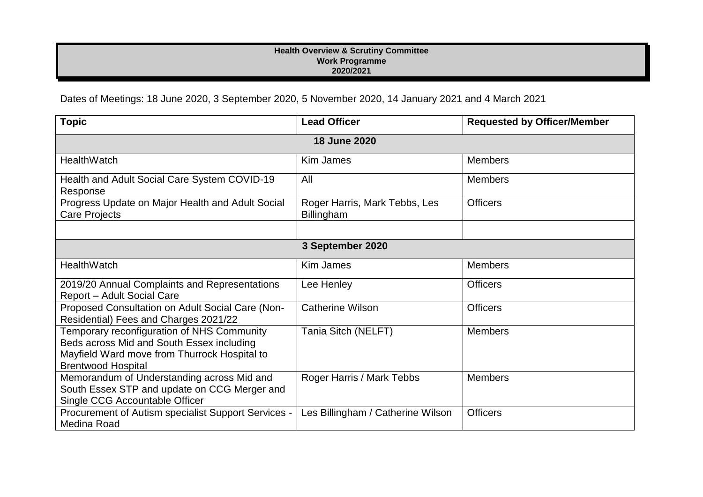## **Health Overview & Scrutiny Committee Work Programme 2020/2021**

Dates of Meetings: 18 June 2020, 3 September 2020, 5 November 2020, 14 January 2021 and 4 March 2021

| <b>Topic</b>                                                                                                                                                         | <b>Lead Officer</b>                         | <b>Requested by Officer/Member</b> |  |
|----------------------------------------------------------------------------------------------------------------------------------------------------------------------|---------------------------------------------|------------------------------------|--|
| 18 June 2020                                                                                                                                                         |                                             |                                    |  |
| HealthWatch                                                                                                                                                          | <b>Kim James</b>                            | <b>Members</b>                     |  |
| Health and Adult Social Care System COVID-19<br>Response                                                                                                             | All                                         | <b>Members</b>                     |  |
| Progress Update on Major Health and Adult Social<br>Care Projects                                                                                                    | Roger Harris, Mark Tebbs, Les<br>Billingham | <b>Officers</b>                    |  |
|                                                                                                                                                                      |                                             |                                    |  |
| 3 September 2020                                                                                                                                                     |                                             |                                    |  |
| HealthWatch                                                                                                                                                          | <b>Kim James</b>                            | <b>Members</b>                     |  |
| 2019/20 Annual Complaints and Representations<br>Report - Adult Social Care                                                                                          | Lee Henley                                  | <b>Officers</b>                    |  |
| Proposed Consultation on Adult Social Care (Non-<br>Residential) Fees and Charges 2021/22                                                                            | <b>Catherine Wilson</b>                     | <b>Officers</b>                    |  |
| Temporary reconfiguration of NHS Community<br>Beds across Mid and South Essex including<br>Mayfield Ward move from Thurrock Hospital to<br><b>Brentwood Hospital</b> | Tania Sitch (NELFT)                         | <b>Members</b>                     |  |
| Memorandum of Understanding across Mid and<br>South Essex STP and update on CCG Merger and<br>Single CCG Accountable Officer                                         | Roger Harris / Mark Tebbs                   | <b>Members</b>                     |  |
| Procurement of Autism specialist Support Services -<br>Medina Road                                                                                                   | Les Billingham / Catherine Wilson           | <b>Officers</b>                    |  |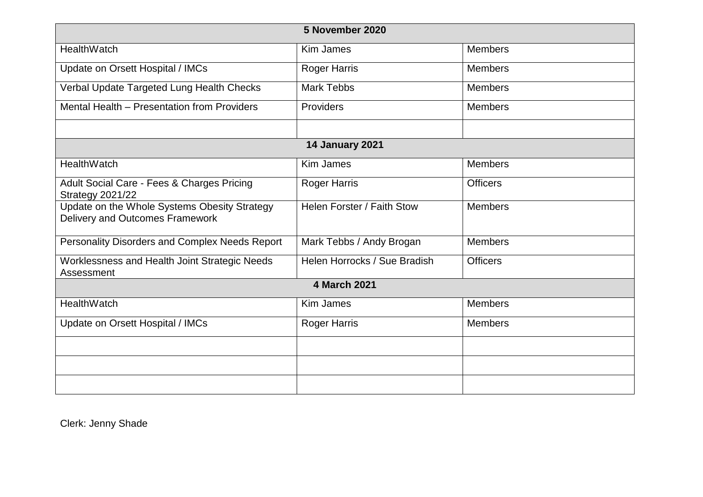| 5 November 2020                                                                 |                              |                 |  |
|---------------------------------------------------------------------------------|------------------------------|-----------------|--|
| HealthWatch                                                                     | <b>Kim James</b>             | <b>Members</b>  |  |
| Update on Orsett Hospital / IMCs                                                | <b>Roger Harris</b>          | <b>Members</b>  |  |
| Verbal Update Targeted Lung Health Checks                                       | <b>Mark Tebbs</b>            | <b>Members</b>  |  |
| Mental Health - Presentation from Providers                                     | Providers                    | <b>Members</b>  |  |
|                                                                                 |                              |                 |  |
| <b>14 January 2021</b>                                                          |                              |                 |  |
| HealthWatch                                                                     | <b>Kim James</b>             | <b>Members</b>  |  |
| Adult Social Care - Fees & Charges Pricing<br><b>Strategy 2021/22</b>           | Roger Harris                 | <b>Officers</b> |  |
| Update on the Whole Systems Obesity Strategy<br>Delivery and Outcomes Framework | Helen Forster / Faith Stow   | <b>Members</b>  |  |
| Personality Disorders and Complex Needs Report                                  | Mark Tebbs / Andy Brogan     | <b>Members</b>  |  |
| Worklessness and Health Joint Strategic Needs<br>Assessment                     | Helen Horrocks / Sue Bradish | <b>Officers</b> |  |
| <b>4 March 2021</b>                                                             |                              |                 |  |
| HealthWatch                                                                     | <b>Kim James</b>             | <b>Members</b>  |  |
| Update on Orsett Hospital / IMCs                                                | Roger Harris                 | <b>Members</b>  |  |
|                                                                                 |                              |                 |  |
|                                                                                 |                              |                 |  |
|                                                                                 |                              |                 |  |

Clerk: Jenny Shade